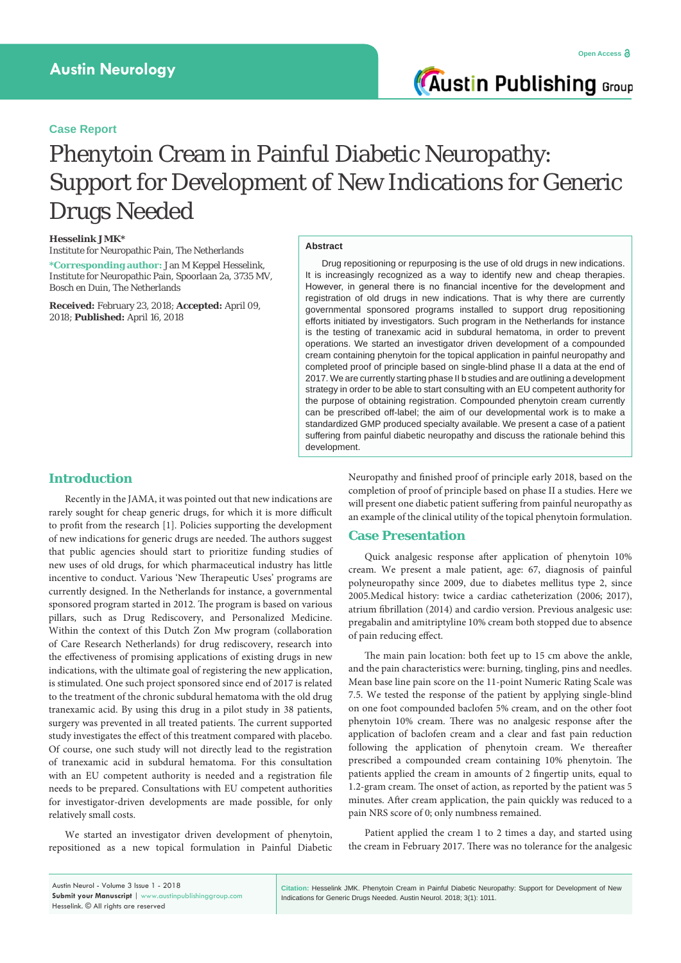**Austin Publishing Group** 

### **Case Report**

# Phenytoin Cream in Painful Diabetic Neuropathy: Support for Development of New Indications for Generic Drugs Needed

#### **Hesselink JMK\***

Institute for Neuropathic Pain, The Netherlands **\*Corresponding author:** Jan M Keppel Hesselink, Institute for Neuropathic Pain, Spoorlaan 2a, 3735 MV, Bosch en Duin, The Netherlands

**Received:** February 23, 2018; **Accepted:** April 09, 2018; **Published:** April 16, 2018

#### **Abstract**

Drug repositioning or repurposing is the use of old drugs in new indications. It is increasingly recognized as a way to identify new and cheap therapies. However, in general there is no financial incentive for the development and registration of old drugs in new indications. That is why there are currently governmental sponsored programs installed to support drug repositioning efforts initiated by investigators. Such program in the Netherlands for instance is the testing of tranexamic acid in subdural hematoma, in order to prevent operations. We started an investigator driven development of a compounded cream containing phenytoin for the topical application in painful neuropathy and completed proof of principle based on single-blind phase II a data at the end of 2017. We are currently starting phase II b studies and are outlining a development strategy in order to be able to start consulting with an EU competent authority for the purpose of obtaining registration. Compounded phenytoin cream currently can be prescribed off-label; the aim of our developmental work is to make a standardized GMP produced specialty available. We present a case of a patient suffering from painful diabetic neuropathy and discuss the rationale behind this development.

### **Introduction**

Recently in the JAMA, it was pointed out that new indications are rarely sought for cheap generic drugs, for which it is more difficult to profit from the research [1]. Policies supporting the development of new indications for generic drugs are needed. The authors suggest that public agencies should start to prioritize funding studies of new uses of old drugs, for which pharmaceutical industry has little incentive to conduct. Various 'New Therapeutic Uses' programs are currently designed. In the Netherlands for instance, a governmental sponsored program started in 2012. The program is based on various pillars, such as Drug Rediscovery, and Personalized Medicine. Within the context of this Dutch Zon Mw program (collaboration of Care Research Netherlands) for drug rediscovery, research into the effectiveness of promising applications of existing drugs in new indications, with the ultimate goal of registering the new application, is stimulated. One such project sponsored since end of 2017 is related to the treatment of the chronic subdural hematoma with the old drug tranexamic acid. By using this drug in a pilot study in 38 patients, surgery was prevented in all treated patients. The current supported study investigates the effect of this treatment compared with placebo. Of course, one such study will not directly lead to the registration of tranexamic acid in subdural hematoma. For this consultation with an EU competent authority is needed and a registration file needs to be prepared. Consultations with EU competent authorities for investigator-driven developments are made possible, for only relatively small costs.

We started an investigator driven development of phenytoin, repositioned as a new topical formulation in Painful Diabetic

**Submit your Manuscript** | www.austinpublishinggroup.com

Neuropathy and finished proof of principle early 2018, based on the completion of proof of principle based on phase II a studies. Here we will present one diabetic patient suffering from painful neuropathy as an example of the clinical utility of the topical phenytoin formulation.

#### **Case Presentation**

Quick analgesic response after application of phenytoin 10% cream. We present a male patient, age: 67, diagnosis of painful polyneuropathy since 2009, due to diabetes mellitus type 2, since 2005.Medical history: twice a cardiac catheterization (2006; 2017), atrium fibrillation (2014) and cardio version. Previous analgesic use: pregabalin and amitriptyline 10% cream both stopped due to absence of pain reducing effect.

The main pain location: both feet up to 15 cm above the ankle, and the pain characteristics were: burning, tingling, pins and needles. Mean base line pain score on the 11-point Numeric Rating Scale was 7.5. We tested the response of the patient by applying single-blind on one foot compounded baclofen 5% cream, and on the other foot phenytoin 10% cream. There was no analgesic response after the application of baclofen cream and a clear and fast pain reduction following the application of phenytoin cream. We thereafter prescribed a compounded cream containing 10% phenytoin. The patients applied the cream in amounts of 2 fingertip units, equal to 1.2-gram cream. The onset of action, as reported by the patient was 5 minutes. After cream application, the pain quickly was reduced to a pain NRS score of 0; only numbness remained.

Patient applied the cream 1 to 2 times a day, and started using the cream in February 2017. There was no tolerance for the analgesic

| Austin Neurol - Volume 3 Issue 1 - 2018        |
|------------------------------------------------|
| Submit your Manuscript   www.austinpublishingg |
| Hesselink. © All rights are reserved           |

**Citation:** Hesselink JMK. Phenytoin Cream in Painful Diabetic Neuropathy: Support for Development of New Indications for Generic Drugs Needed. Austin Neurol. 2018; 3(1): 1011.